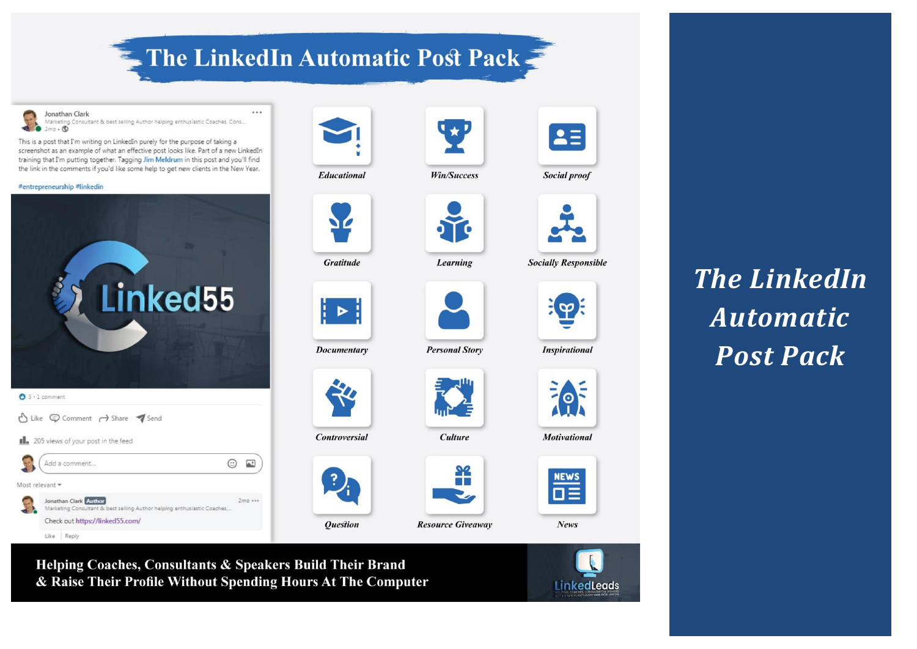# The LinkedIn Automatic Post Pack

 $\cdots$ 

Jonathan Clark Marketing Consultant & best selling Author helping enthusiastic Coaches, Cons...  $mo \cdot ⑤$ 

This is a post that I'm writing on LinkedIn purely for the purpose of taking a screenshot as an example of what an effective post looks like. Part of a new LinkedIn training that I'm putting together. Tagging Jim Meldrum in this post and you'll find the link in the comments if you'd like some help to get new clients in the New Year.

#### #entrepreneurship #linkedin

Like Reply





**Educational** 



**Gratitude** 



┆▶┆

Documentary

**Controversial** 

**Question** 



**Personal Story** 

Win/Success

Learning

**Culture** 



**Resource Giveaway** 



FOF

 $2\equiv$ 

Social proof

**Socially Responsible** 

 $\mathbf{p}$ 

**Motivational** 



*The LinkedIn Automatic Post Pack*

Helping Coaches, Consultants & Speakers Build Their Brand & Raise Their Profile Without Spending Hours At The Computer

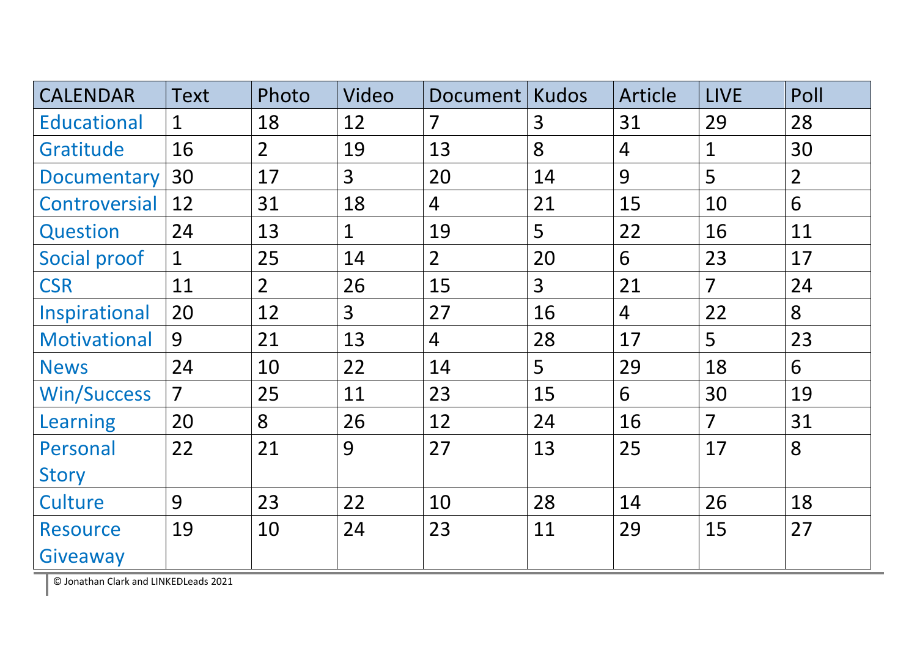| <b>CALENDAR</b>    | <b>Text</b>    | Photo          | Video          | Document       | Kudos          | Article        | <b>LIVE</b>    | Poll           |
|--------------------|----------------|----------------|----------------|----------------|----------------|----------------|----------------|----------------|
| <b>Educational</b> | $\mathbf{1}$   | 18             | 12             | $\overline{7}$ | $\overline{3}$ | 31             | 29             | 28             |
| Gratitude          | 16             | $\overline{2}$ | 19             | 13             | 8              | $\overline{4}$ | $\mathbf{1}$   | 30             |
| Documentary        | 30             | 17             | 3 <sup>1</sup> | 20             | 14             | 9              | 5              | $\overline{2}$ |
| Controversial      | 12             | 31             | 18             | $\overline{4}$ | 21             | 15             | 10             | 6              |
| Question           | 24             | 13             | $\mathbf{1}$   | 19             | 5              | 22             | 16             | 11             |
| Social proof       | $\mathbf{1}$   | 25             | 14             | 2 <sup>1</sup> | 20             | 6              | 23             | 17             |
| <b>CSR</b>         | 11             | 2 <sup>1</sup> | 26             | 15             | $\overline{3}$ | 21             | $\overline{7}$ | 24             |
| Inspirational      | 20             | 12             | 3 <sup>1</sup> | 27             | 16             | $\overline{4}$ | 22             | 8              |
| Motivational       | 9              | 21             | 13             | $\overline{4}$ | 28             | 17             | 5              | 23             |
| <b>News</b>        | 24             | 10             | 22             | 14             | 5              | 29             | 18             | 6              |
| <b>Win/Success</b> | $\overline{7}$ | 25             | 11             | 23             | 15             | 6              | 30             | 19             |
| Learning           | 20             | 8              | 26             | 12             | 24             | 16             | $\overline{7}$ | 31             |
| Personal           | 22             | 21             | 9              | 27             | 13             | 25             | 17             | 8              |
| <b>Story</b>       |                |                |                |                |                |                |                |                |
| Culture            | 9              | 23             | 22             | 10             | 28             | 14             | 26             | 18             |
| <b>Resource</b>    | 19             | 10             | 24             | 23             | 11             | 29             | 15             | 27             |
| Giveaway           |                |                |                |                |                |                |                |                |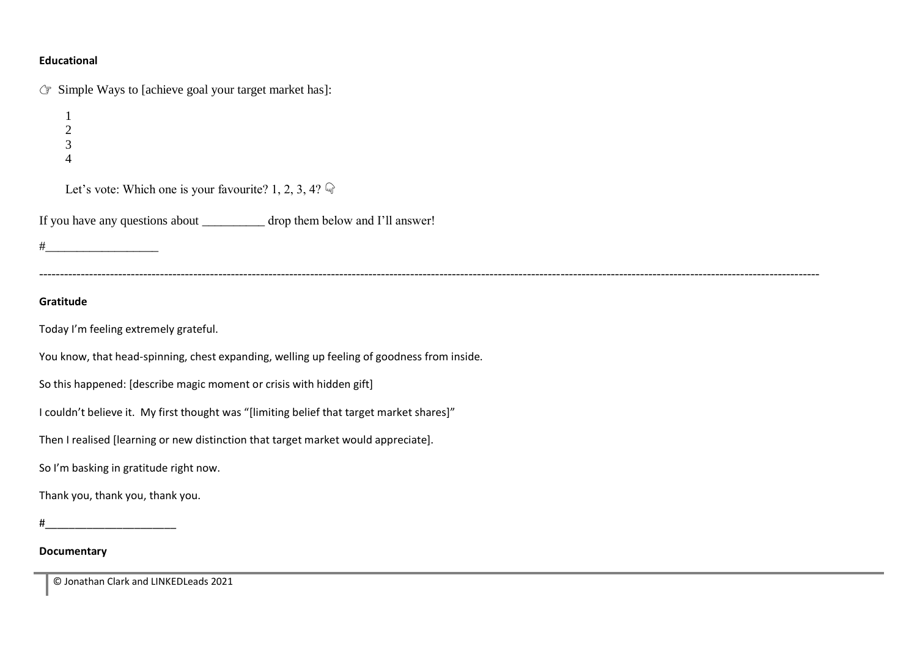#### **Educational**

 $\mathbb{F}$  Simple Ways to [achieve goal your target market has]:

Let's vote: Which one is your favourite? 1, 2, 3, 4?  $\mathbb{Q}$ 

If you have any questions about \_\_\_\_\_\_\_\_\_\_ drop them below and I'll answer!

 $\#$ 

#### **Gratitude**

Today I'm feeling extremely grateful.

You know, that head-spinning, chest expanding, welling up feeling of goodness from inside.

So this happened: [describe magic moment or crisis with hidden gift]

I couldn't believe it. My first thought was "[limiting belief that target market shares]"

Then I realised [learning or new distinction that target market would appreciate].

So I'm basking in gratitude right now.

Thank you, thank you, thank you.

 $\#$ 

#### **Documentary**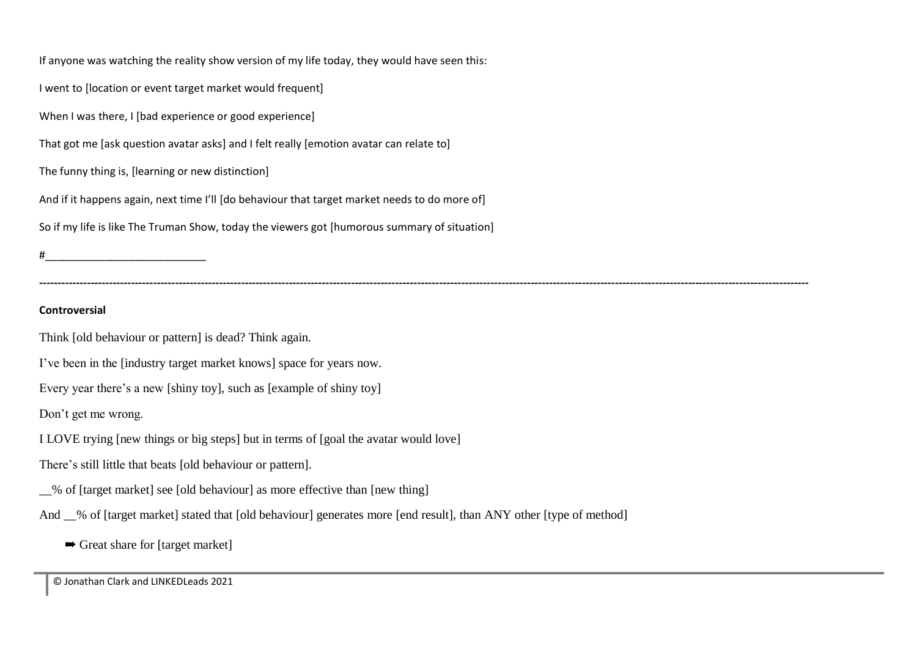If anyone was watching the reality show version of my life today, they would have seen this: I went to [location or event target market would frequent] When I was there, I [bad experience or good experience] That got me [ask question avatar asks] and I felt really [emotion avatar can relate to] The funny thing is, [learning or new distinction] And if it happens again, next time I'll [do behaviour that target market needs to do more of] So if my life is like The Truman Show, today the viewers got [humorous summary of situation]  $\#$ 

**Controversial**

Think [old behaviour or pattern] is dead? Think again.

I've been in the [industry target market knows] space for years now.

Every year there's a new [shiny toy], such as [example of shiny toy]

Don't get me wrong.

I LOVE trying [new things or big steps] but in terms of [goal the avatar would love]

There's still little that beats [old behaviour or pattern].

\_\_% of [target market] see [old behaviour] as more effective than [new thing]

And \_\_% of [target market] stated that [old behaviour] generates more [end result], than ANY other [type of method]

**------------------------------------------------------------------------------------------------------------------------------------------------------------------------------------------------------------------**

➡ Great share for [target market]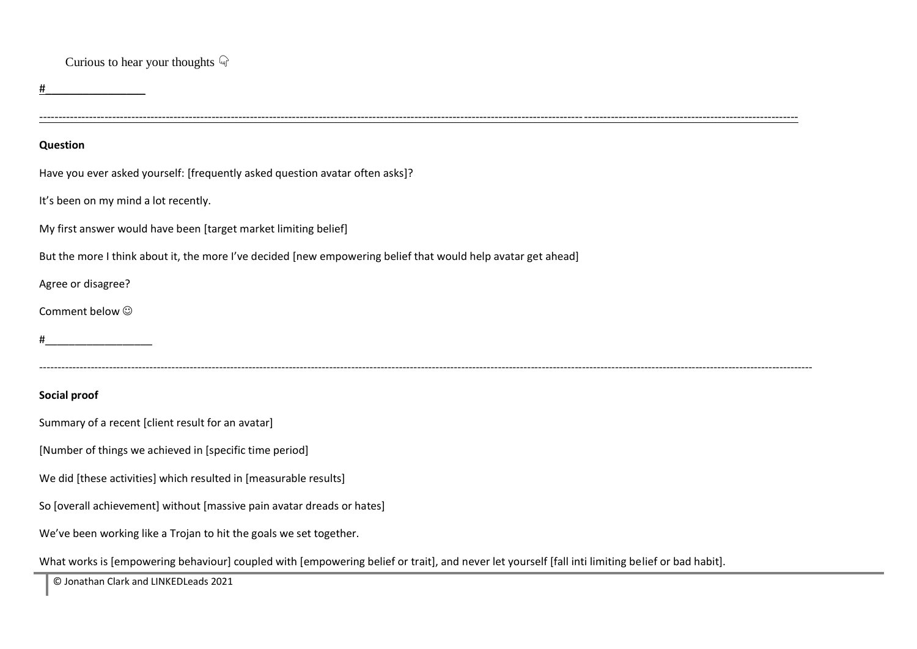#### Curious to hear your thoughts  $\mathbb{Q}$

 $\#$ 

#### **Question**

Have you ever asked yourself: [frequently asked question avatar often asks]?

It's been on my mind a lot recently.

My first answer would have been [target market limiting belief]

But the more I think about it, the more I've decided [new empowering belief that would help avatar get ahead]

Agree or disagree?

Comment below  $\odot$ 

#\_\_\_\_\_\_\_\_\_\_\_\_\_\_\_\_\_\_

#### **Social proof**

Summary of a recent [client result for an avatar]

[Number of things we achieved in [specific time period]

We did [these activities] which resulted in [measurable results]

So [overall achievement] without [massive pain avatar dreads or hates]

We've been working like a Trojan to hit the goals we set together.

What works is [empowering behaviour] coupled with [empowering belief or trait], and never let yourself [fall inti limiting belief or bad habit].

------------------------------------------------------------------------------------------------------------------------------------------------------------------------------------------------------

-------------------------------------------------------------------------------------------------------------------------------------------------------------------------------------------------------------------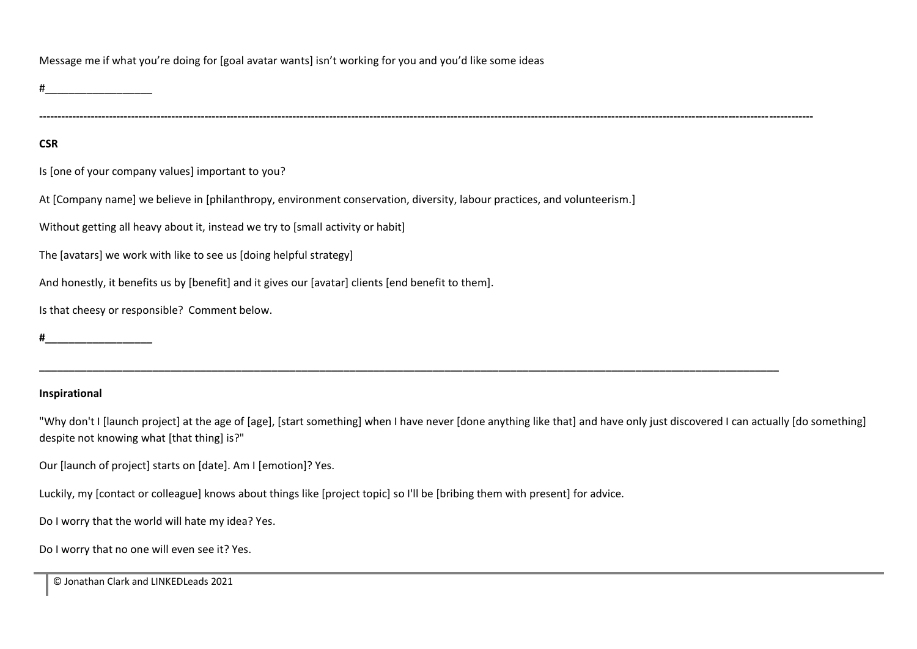Message me if what you're doing for [goal avatar wants] isn't working for you and you'd like some ideas

**-------------------------------------------------------------------------------------------------------------------------------------------------------------------------------------------------------------------**

#### **CSR**

Is [one of your company values] important to you?

At [Company name] we believe in [philanthropy, environment conservation, diversity, labour practices, and volunteerism.]

Without getting all heavy about it, instead we try to [small activity or habit]

The [avatars] we work with like to see us [doing helpful strategy]

And honestly, it benefits us by [benefit] and it gives our [avatar] clients [end benefit to them].

Is that cheesy or responsible? Comment below.

#### **Inspirational**

"Why don't I [launch project] at the age of [age], [start something] when I have never [done anything like that] and have only just discovered I can actually [do something] despite not knowing what [that thing] is?"

**\_\_\_\_\_\_\_\_\_\_\_\_\_\_\_\_\_\_\_\_\_\_\_\_\_\_\_\_\_\_\_\_\_\_\_\_\_\_\_\_\_\_\_\_\_\_\_\_\_\_\_\_\_\_\_\_\_\_\_\_\_\_\_\_\_\_\_\_\_\_\_\_\_\_\_\_\_\_\_\_\_\_\_\_\_\_\_\_\_\_\_\_\_\_\_\_\_\_\_\_\_\_\_\_\_\_\_\_\_\_\_\_\_\_\_\_\_\_\_\_\_\_\_\_**

Our [launch of project] starts on [date]. Am I [emotion]? Yes.

Luckily, my [contact or colleague] knows about things like [project topic] so I'll be [bribing them with present] for advice.

Do I worry that the world will hate my idea? Yes.

Do I worry that no one will even see it? Yes.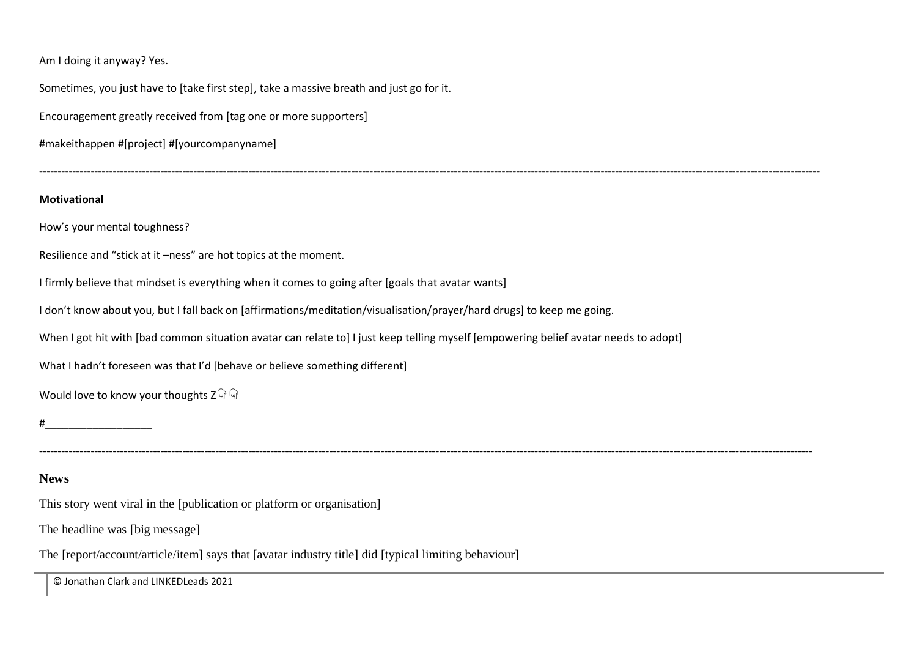Am I doing it anyway? Yes.

Sometimes, you just have to [take first step], take a massive breath and just go for it.

Encouragement greatly received from [tag one or more supporters]

#makeithappen #[project] #[yourcompanyname]

#### **Motivational**

How's your mental toughness?

Resilience and "stick at it –ness" are hot topics at the moment.

I firmly believe that mindset is everything when it comes to going after [goals that avatar wants]

I don't know about you, but I fall back on [affirmations/meditation/visualisation/prayer/hard drugs] to keep me going.

When I got hit with [bad common situation avatar can relate to] I just keep telling myself [empowering belief avatar needs to adopt]

**-------------------------------------------------------------------------------------------------------------------------------------------------------------------------------------------------------------------**

What I hadn't foreseen was that I'd [behave or believe something different]

Would love to know your thoughts  $Z \mathbb{Q} \mathbb{Q}$ 

 $\#$ 

**News**

This story went viral in the [publication or platform or organisation]

The headline was [big message]

The [report/account/article/item] says that [avatar industry title] did [typical limiting behaviour]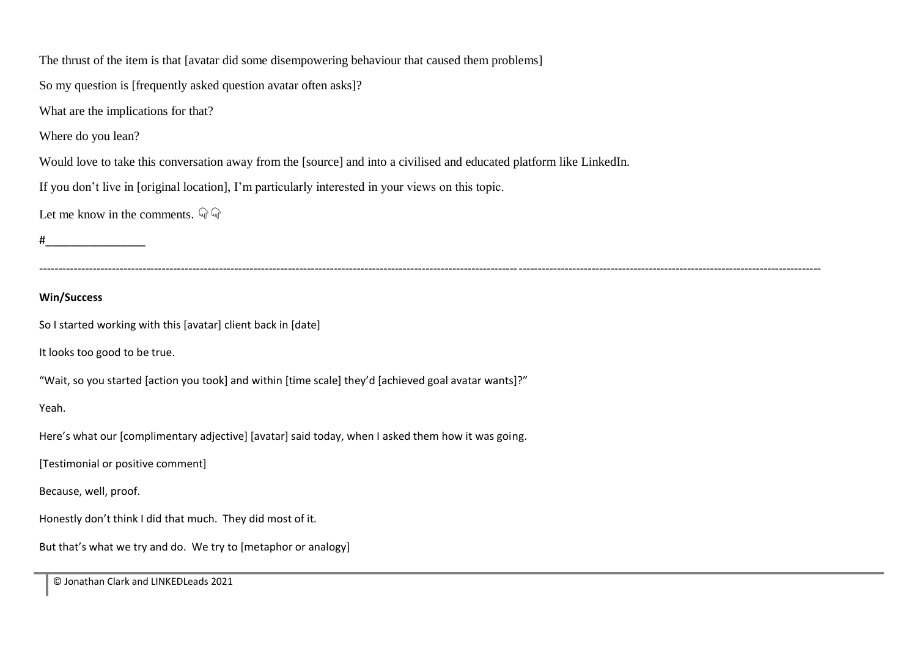The thrust of the item is that [avatar did some disempowering behaviour that caused them problems] So my question is [frequently asked question avatar often asks]? What are the implications for that? Where do you lean? Would love to take this conversation away from the [source] and into a civilised and educated platform like LinkedIn. If you don't live in [original location], I'm particularly interested in your views on this topic. Let me know in the comments.  $\mathbb{Q}$  $\#$ ------------------------------------------------------------------------------------------------------------------------------------------------------------------------------------------------------------ **Win/Success** So I started working with this [avatar] client back in [date] It looks too good to be true. "Wait, so you started [action you took] and within [time scale] they'd [achieved goal avatar wants]?" Yeah. Here's what our [complimentary adjective] [avatar] said today, when I asked them how it was going. [Testimonial or positive comment] Because, well, proof. Honestly don't think I did that much. They did most of it. But that's what we try and do. We try to [metaphor or analogy]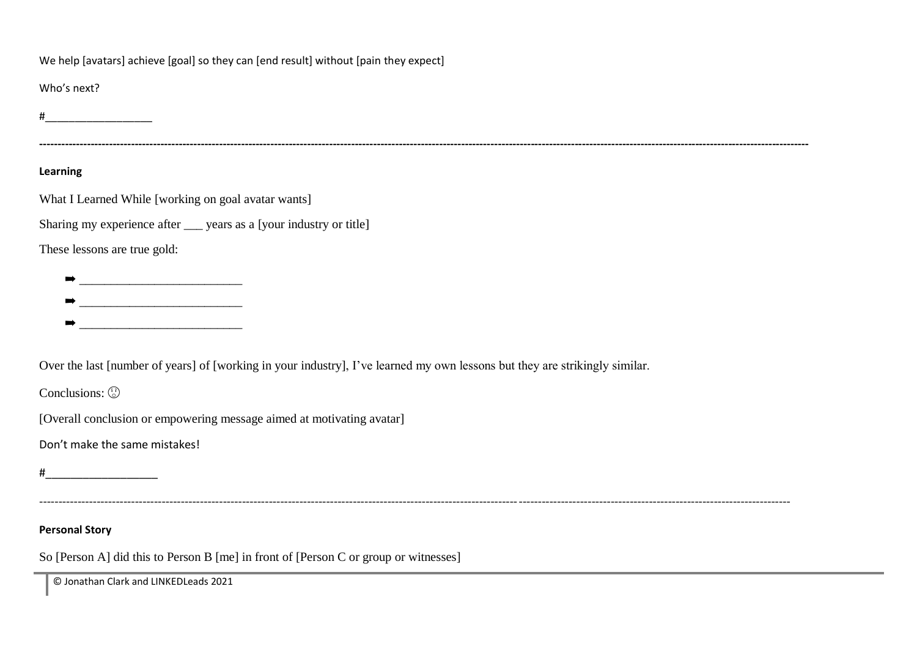We help [avatars] achieve [goal] so they can [end result] without [pain they expect]

Who's next?

 $\#$ 

#### **Learning**

What I Learned While [working on goal avatar wants]

Sharing my experience after \_\_\_ years as a [your industry or title]

These lessons are true gold:

- ➡ \_\_\_\_\_\_\_\_\_\_\_\_\_\_\_\_\_\_\_\_\_\_\_\_\_\_
- ➡ \_\_\_\_\_\_\_\_\_\_\_\_\_\_\_\_\_\_\_\_\_\_\_\_\_\_
- $\frac{1}{2}$  ,  $\frac{1}{2}$  ,  $\frac{1}{2}$  ,  $\frac{1}{2}$  ,  $\frac{1}{2}$  ,  $\frac{1}{2}$  ,  $\frac{1}{2}$  ,  $\frac{1}{2}$  ,  $\frac{1}{2}$  ,  $\frac{1}{2}$  ,  $\frac{1}{2}$  ,  $\frac{1}{2}$  ,  $\frac{1}{2}$  ,  $\frac{1}{2}$  ,  $\frac{1}{2}$  ,  $\frac{1}{2}$  ,  $\frac{1}{2}$  ,  $\frac{1}{2}$  ,  $\frac{1$

Over the last [number of years] of [working in your industry], I've learned my own lessons but they are strikingly similar.

Conclusions:  $\odot$ 

[Overall conclusion or empowering message aimed at motivating avatar]

Don't make the same mistakes!

 $\#$ 

----------------------------------------------------------------------------------------------------------------------------------------------------------------------------------------------------

**------------------------------------------------------------------------------------------------------------------------------------------------------------------------------------------------------------------**

#### **Personal Story**

So [Person A] did this to Person B [me] in front of [Person C or group or witnesses]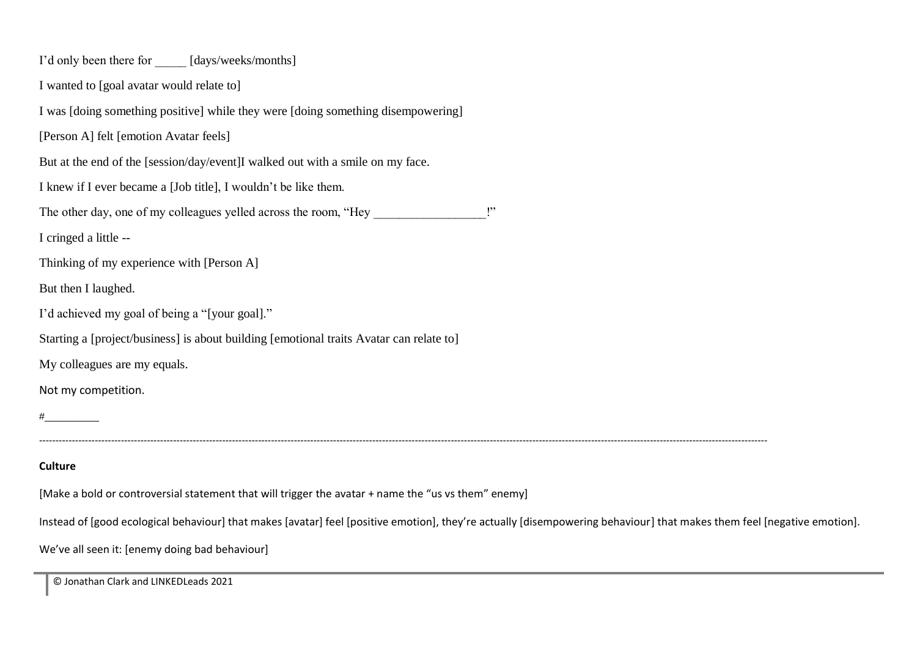| I'd only been there for ______ [days/weeks/months]                                                                                                                      |  |  |  |  |  |  |
|-------------------------------------------------------------------------------------------------------------------------------------------------------------------------|--|--|--|--|--|--|
| I wanted to [goal avatar would relate to]                                                                                                                               |  |  |  |  |  |  |
| I was [doing something positive] while they were [doing something disempowering]                                                                                        |  |  |  |  |  |  |
| [Person A] felt [emotion Avatar feels]                                                                                                                                  |  |  |  |  |  |  |
| But at the end of the [session/day/event]I walked out with a smile on my face.                                                                                          |  |  |  |  |  |  |
| I knew if I ever became a [Job title], I wouldn't be like them.                                                                                                         |  |  |  |  |  |  |
| The other day, one of my colleagues yelled across the room, "Hey                                                                                                        |  |  |  |  |  |  |
| I cringed a little --                                                                                                                                                   |  |  |  |  |  |  |
| Thinking of my experience with [Person A]                                                                                                                               |  |  |  |  |  |  |
| But then I laughed.                                                                                                                                                     |  |  |  |  |  |  |
| I'd achieved my goal of being a "[your goal]."                                                                                                                          |  |  |  |  |  |  |
| Starting a [project/business] is about building [emotional traits Avatar can relate to]                                                                                 |  |  |  |  |  |  |
| My colleagues are my equals.                                                                                                                                            |  |  |  |  |  |  |
| Not my competition.                                                                                                                                                     |  |  |  |  |  |  |
|                                                                                                                                                                         |  |  |  |  |  |  |
|                                                                                                                                                                         |  |  |  |  |  |  |
| Culture                                                                                                                                                                 |  |  |  |  |  |  |
| [Make a bold or controversial statement that will trigger the avatar + name the "us vs them" enemy]                                                                     |  |  |  |  |  |  |
| Instead of [good ecological behaviour] that makes [avatar] feel [positive emotion], they're actually [disempowering behaviour] that makes them feel [negative emotion]. |  |  |  |  |  |  |
|                                                                                                                                                                         |  |  |  |  |  |  |

We've all seen it: [enemy doing bad behaviour]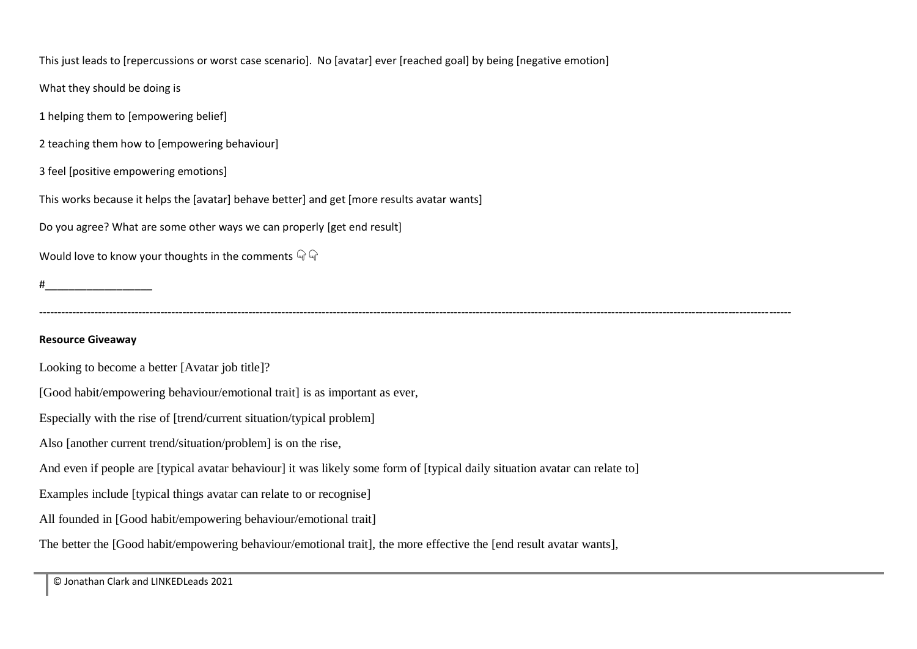This just leads to [repercussions or worst case scenario]. No [avatar] ever [reached goal] by being [negative emotion]

What they should be doing is

1 helping them to [empowering belief]

2 teaching them how to [empowering behaviour]

3 feel [positive empowering emotions]

This works because it helps the [avatar] behave better] and get [more results avatar wants]

Do you agree? What are some other ways we can properly [get end result]

Would love to know your thoughts in the comments  $\mathbb{Q}$ 

 $\#$ 

**-------------------------------------------------------------------------------------------------------------------------------------------------------------------------------------------------------------**

#### **Resource Giveaway**

Looking to become a better [Avatar job title]?

[Good habit/empowering behaviour/emotional trait] is as important as ever,

Especially with the rise of [trend/current situation/typical problem]

Also [another current trend/situation/problem] is on the rise,

And even if people are [typical avatar behaviour] it was likely some form of [typical daily situation avatar can relate to]

Examples include [typical things avatar can relate to or recognise]

All founded in [Good habit/empowering behaviour/emotional trait]

The better the [Good habit/empowering behaviour/emotional trait], the more effective the [end result avatar wants],